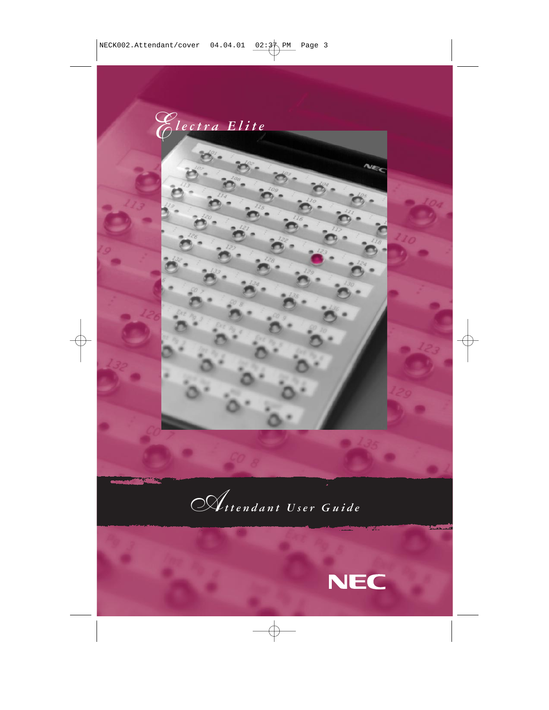



*Attendant User Guide*



v.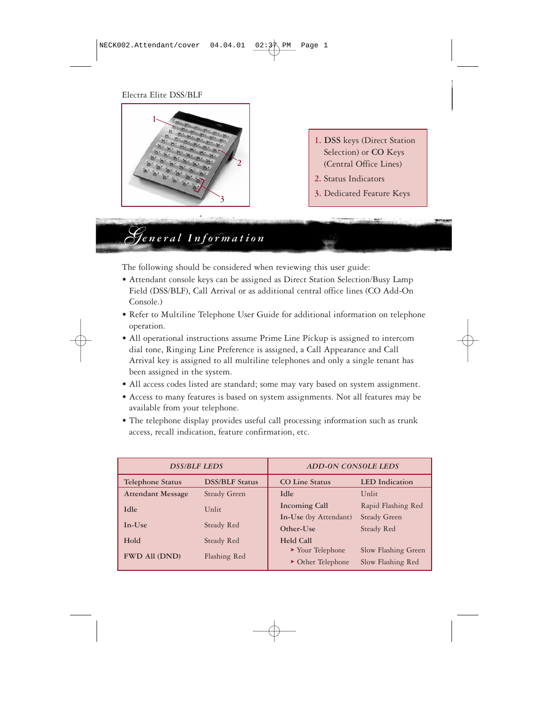### Electra Elite DSS/BLF



*General Information*

- **1. DSS** keys (Direct Station Selection) or **CO** Keys (Central Office Lines)
- **2.** Status Indicators
- **3.** Dedicated Feature Keys

The following should be considered when reviewing this user guide:

- Attendant console keys can be assigned as Direct Station Selection/Busy Lamp Field (DSS/BLF), Call Arrival or as additional central office lines (CO Add-On Console.)
- Refer to Multiline Telephone User Guide for additional information on telephone operation.
- All operational instructions assume Prime Line Pickup is assigned to intercom dial tone, Ringing Line Preference is assigned, a Call Appearance and Call Arrival key is assigned to all multiline telephones and only a single tenant has been assigned in the system.
- All access codes listed are standard; some may vary based on system assignment.
- Access to many features is based on system assignments. Not all features may be available from your telephone.
- The telephone display provides useful call processing information such as trunk access, recall indication, feature confirmation, etc.

| <b>DSS/BLF LEDS</b>      |                       | <b>ADD-ON CONSOLE LEDS</b>           |                       |  |
|--------------------------|-----------------------|--------------------------------------|-----------------------|--|
| <b>Telephone Status</b>  | <b>DSS/BLF Status</b> | <b>CO Line Status</b>                | <b>LED</b> Indication |  |
| <b>Attendant Message</b> | <b>Steady Green</b>   | Idle                                 | Unlit                 |  |
| <b>Idle</b>              | Unlit                 | <b>Incoming Call</b>                 | Rapid Flashing Red    |  |
|                          |                       |                                      | <b>Steady Green</b>   |  |
| $In-Use$                 | Steady Red            | Other-Use                            | Steady Red            |  |
| Hold                     | Steady Red            | <b>Held Call</b>                     |                       |  |
| <b>FWD All (DND)</b>     | Flashing Red          | $\blacktriangleright$ Your Telephone | Slow Flashing Green   |  |
|                          |                       | $\triangleright$ Other Telephone     | Slow Flashing Red     |  |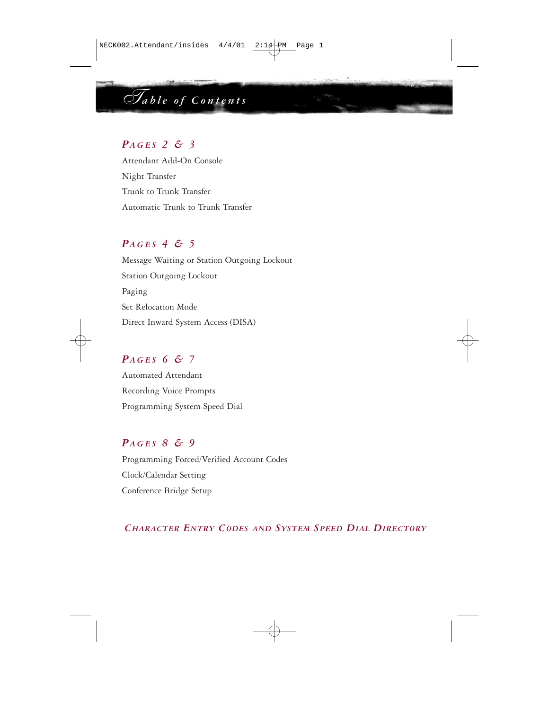# *Table of Contents*

### *PAGES 2 & 3*

Attendant Add-On Console Night Transfer Trunk to Trunk Transfer Automatic Trunk to Trunk Transfer

### *PAGES 4 & 5*

Message Waiting or Station Outgoing Lockout Station Outgoing Lockout Paging Set Relocation Mode Direct Inward System Access (DISA)

### *PAGES 6 & 7*

Automated Attendant Recording Voice Prompts Programming System Speed Dial

### *PAGES 8 & 9*

Programming Forced/Verified Account Codes Clock/Calendar Setting Conference Bridge Setup

*CHARACTER ENTRY CODES AND SYSTEM SPEED DIAL DIRECTORY*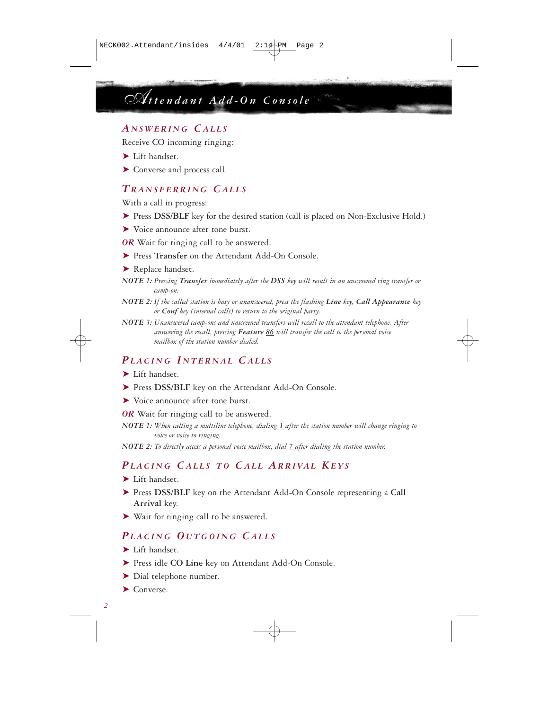# *Attendant Add-On Console*

### *A NSWERING CALLS*

Receive CO incoming ringing:

- ➤ Lift handset.
- ➤ Converse and process call.

### *TRANSFERRING CALLS*

With a call in progress:

- ➤ Press **DSS/BLF** key for the desired station (call is placed on Non-Exclusive Hold.)
- ➤ Voice announce after tone burst.
- *OR* Wait for ringing call to be answered.
- ➤ Press **Transfer** on the Attendant Add-On Console.
- ▶ Replace handset.
- *NOTE 1: Pressing Transfer immediately after the DSS key will result in an unscreened ring transfer or camp-on.*
- *NOTE 2: If the called station is busy or unanswered, press the flashing Line key, Call Appearance key or Conf key (internal calls) to return to the original party.*
- *NOTE 3: Unanswered camp-ons and unscreened transfers will recall to the attendant telephone. After answering the recall, pressing Feature 86 will transfer the call to the personal voice mailbox of the station number dialed.*

### *PLACING I NTERNAL CALLS*

- ➤ Lift handset.
- ➤ Press **DSS/BLF** key on the Attendant Add-On Console.
- ➤ Voice announce after tone burst.
- *OR* Wait for ringing call to be answered.
- *NOTE 1: When calling a multiline telephone, dialing 1 after the station number will change ringing to voice or voice to ringing.*

*NOTE 2: To directly access a personal voice mailbox, dial 7 after dialing the station number.*

## *PLACING CALLS TO CALL ARRIVAL KEYS*

➤ Lift handset.

- ➤ Press **DSS/BLF** key on the Attendant Add-On Console representing a **Call Arrival** key.
- ➤ Wait for ringing call to be answered.

### *PLACING O UTGOING CALLS*

- ➤ Lift handset.
- ➤ Press idle **CO Line** key on Attendant Add-On Console.
- ▶ Dial telephone number.
- ➤ Converse.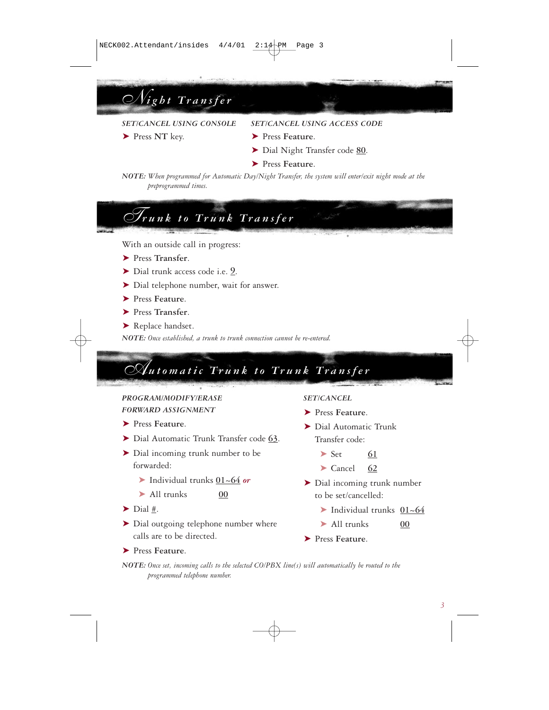*Night Transfer*

*SET/CANCEL USING CONSOLE SET/CANCEL USING ACCESS CODE*

- ➤ Press **NT** key. ➤ Press **Feature**.
	- ➤ Dial Night Transfer code **80**.
	- ➤ Press **Feature**.

*NOTE: When programmed for Automatic Day/Night Transfer, the system will enter/exit night mode at the preprogrammed times.*

# *Trunk to Trunk Transfer*

With an outside call in progress:

- ➤ Press **Transfer**.
- ➤ Dial trunk access code i.e. **\_9**.
- ▶ Dial telephone number, wait for answer.
- ➤ Press **Feature**.
- ➤ Press **Transfer**.
- ▶ Replace handset.

*NOTE: Once established, a trunk to trunk connection cannot be re-entered.*

# *Automatic Trunk to Trunk Transfer*

### *PROGRAM/MODIFY/ERASE FORWARD ASSIGNMENT*

- ➤ Press **Feature**.
- ➤ Dial Automatic Trunk Transfer code **63**.
- ➤ Dial incoming trunk number to be forwarded:
	- ➤ Individual trunks **01~64** *or*
	- ➤ All trunks **00**
- $\blacktriangleright$  Dial #.
- ➤ Dial outgoing telephone number where calls are to be directed.
- ➤ Press **Feature**.

*SET/CANCEL*

- ➤ Press **Feature**.
- ➤ Dial Automatic Trunk Transfer code:
	- ➤ Set **61**
	- ➤ Cancel **62**
- ➤ Dial incoming trunk number to be set/cancelled:
	- ➤ Individual trunks **01~64**
	- ➤ All trunks **00**
- ➤ Press **Feature**.

*NOTE: Once set, incoming calls to the selected CO/PBX line(s) will automatically be routed to the programmed telephone number.*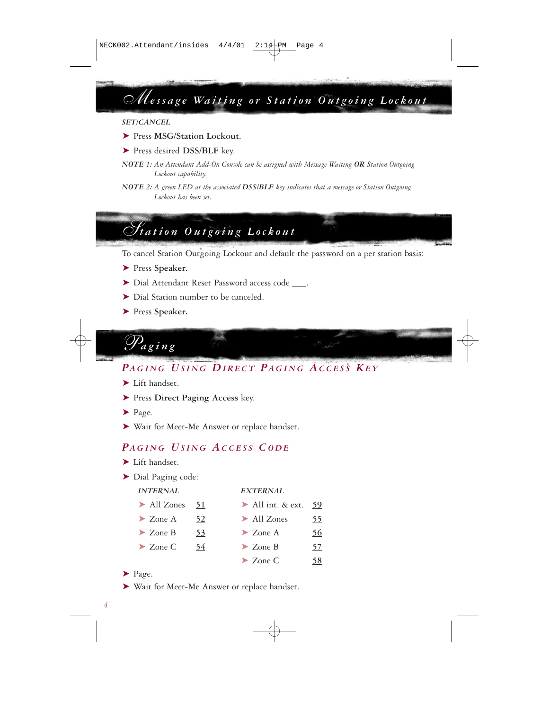*Message Waiting or Station Outgoing Lockout*

#### *SET/CANCEL*

- ➤ Press **MSG/Station Lockout.**
- ➤ Press desired **DSS/BLF** key.
- *NOTE 1: An Attendant Add-On Console can be assigned with Message Waiting OR Station Outgoing Lockout capability.*
- *NOTE 2: A green LED at the associated DSS/BLF key indicates that a message or Station Outgoing Lockout has been set.*

# *Station Outgoing Lockout*

To cancel Station Outgoing Lockout and default the password on a per station basis:

- ➤ Press **Speaker.**
- ▶ Dial Attendant Reset Password access code \_\_\_\_.
- ➤ Dial Station number to be canceled.
- ➤ Press **Speaker.**



## *PAGING USING DIRECT PAGING ACCESS KE Y*

- ➤ Lift handset.
- ➤ Press **Direct Paging Access** key.
- ➤ Page.
- ➤ Wait for Meet-Me Answer or replace handset.

### *PAGING USING ACCESS CODE*

- ▶ Lift handset.
- ➤ Dial Paging code:

| <b>INTERNAL</b> |    | <b>EXTERNAL</b>                 |    |
|-----------------|----|---------------------------------|----|
| All Zones       | 51 | All int. $\&$ ext.              | 59 |
| $\geq$ Zone A   | 52 | $\blacktriangleright$ All Zones | 55 |
| $\geq$ Zone B   | 53 | $\geq$ Zone A                   | 56 |
| $\geq$ Zone C   | 54 | $\geq$ Zone B                   | 57 |
|                 |    | $\geq$ Zone C                   | 58 |

- ➤ Page.
- ➤ Wait for Meet-Me Answer or replace handset.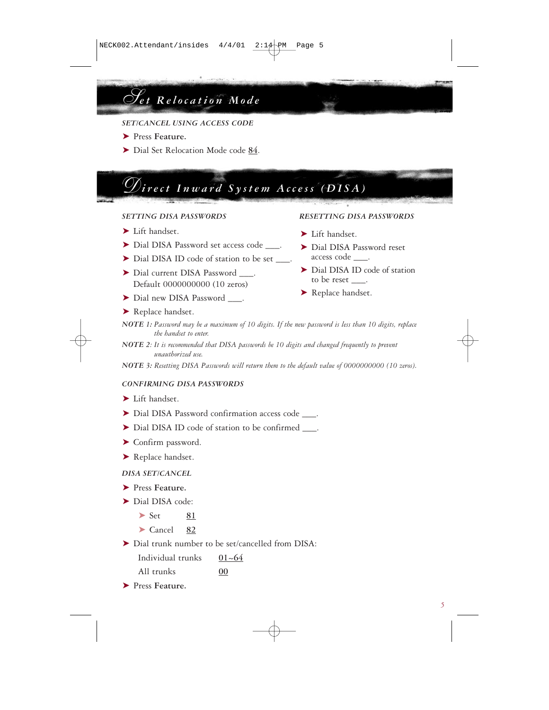# *Set Relocation Mode*

- *SET/CANCEL USING ACCESS CODE*
- ➤ Press **Feature.**
- ➤ Dial Set Relocation Mode code **84**.

# *Direct Inward System Access (DISA)*

#### *SETTING DISA PASSWORDS RESETTING DISA PASSWORDS*

- ➤ Lift handset.
- ▶ Dial DISA Password set access code ...
- ▶ Dial DISA ID code of station to be set ...
- ▶ Dial current DISA Password . Default 0000000000 (10 zeros)
- ▶ Dial new DISA Password .

#### ▶ Replace handset.

- *NOTE 1: Password may be a maximum of 10 digits. If the new password is less than 10 digits, replace the handset to enter.*
- *NOTE 2: It is recommended that DISA passwords be 10 digits and changed frequently to prevent unauthorized use.*
- *NOTE 3: Resetting DISA Passwords will return them to the default value of 0000000000 (10 zeros).*

#### *CONFIRMING DISA PASSWORDS*

- ➤ Lift handset.
- ▶ Dial DISA Password confirmation access code ...
- ▶ Dial DISA ID code of station to be confirmed  $\blacksquare$ .
- ➤ Confirm password.
- ▶ Replace handset.

#### *DISA SET/CANCEL*

- ➤ Press **Feature.**
- ➤ Dial DISA code:
	- ➤ Set **81**
	- ➤ Cancel **82**

➤ Dial trunk number to be set/cancelled from DISA:

| Individual trunks | $01 - 64$ |
|-------------------|-----------|
| All trunks        | 00        |

➤ Press **Feature.** 

- ➤ Lift handset.
- ➤ Dial DISA Password reset access code \_\_\_.
- ▶ Dial DISA ID code of station to be reset \_\_\_.
- ▶ Replace handset.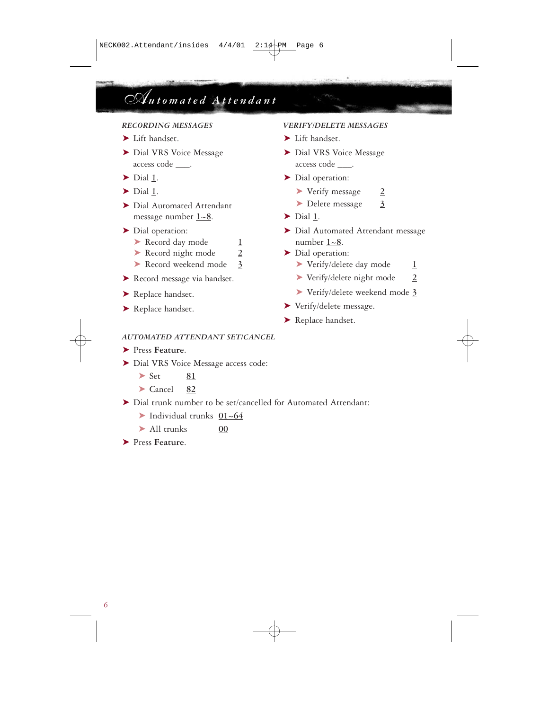# *Automated Attendant*

- ➤ Lift handset. ➤ Lift handset.
- access code \_\_\_. access code \_\_\_.
- 
- 
- ➤ Dial Automated Attendant ➤ Delete message **3** message number  $1~-8$ .  $\triangleright$  Dial 1.

- ► Record day mode <u>1</u> number <u>1~8</u>.
- ► Record night mode **2** ► Dial operation:
- 
- 
- 
- 

### *RECORDING MESSAGES VERIFY/DELETE MESSAGES*

- 
- ► Dial VRS Voice Message ► Dial VRS Voice Message
- ► Dial 1. ► Dial operation:
- ➤ Dial **1**. ➤ Verify message **2**
	-
	-
- ➤ Dial operation: ➤ Dial Automated Attendant message
	-
	- ▶ Record weekend mode **3 ▶ Verify/delete day mode 1**
- ➤ Record message via handset. ➤ Verify/delete night mode **2**
- ➤ Replace handset. ➤ Verify/delete weekend mode **3**
- ► Replace handset. <br>► Verify/delete message.
	- ▶ Replace handset.

### *AUTOMATED ATTENDANT SET/CANCEL*

- ➤ Press **Feature**.
- ➤ Dial VRS Voice Message access code:
	- ▶ Set 81
	- ➤ Cancel **82**
- ➤ Dial trunk number to be set/cancelled for Automated Attendant:
	- ➤ Individual trunks **01~64**
	- ➤ All trunks **00**
- ➤ Press **Feature**.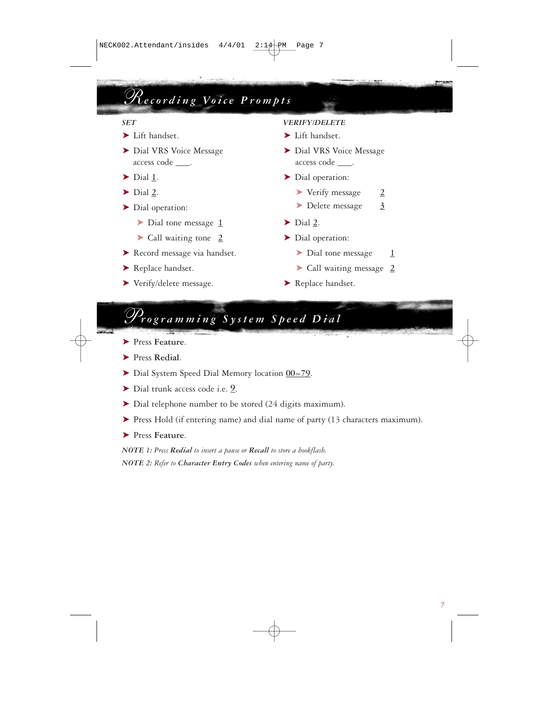# *Recording Voice Prompts*

- 
- access code \_\_\_\_. access code \_\_\_\_.
- 
- 
- - ► Dial tone message 1 ► Dial 2.
	- ► Call waiting tone **2** ► Dial operation:
- ► Record message via handset. <br>
► Dial tone message **1**
- 
- ► Verify/delete message. ► Replace handset.

#### *SET VERIFY/DELETE*

- ► Lift handset. ► Lift handset.
- ► Dial VRS Voice Message ► Dial VRS Voice Message
- ► Dial 1. ► Dial operation:
- ➤ Dial **2**. ➤ Verify message **2**
- ➤ Dial operation: ➤ Delete message **3**
	-
	- -
- ➤ Replace handset. ➤ Call waiting message **2**
	-

## *Programming System Speed Dial*

- ➤ Press **Feature**.
- ➤ Press **Redial**.
- ➤ Dial System Speed Dial Memory location **00~79**.
- ➤ Dial trunk access code i.e. **\_9**.
- ➤ Dial telephone number to be stored (24 digits maximum).
- ➤ Press Hold (if entering name) and dial name of party (13 characters maximum).
- ➤ Press **Feature**.

*NOTE 1: Press Redial to insert a pause or Recall to store a hookflash. NOTE 2: Refer to Character Entry Codes when entering name of party.*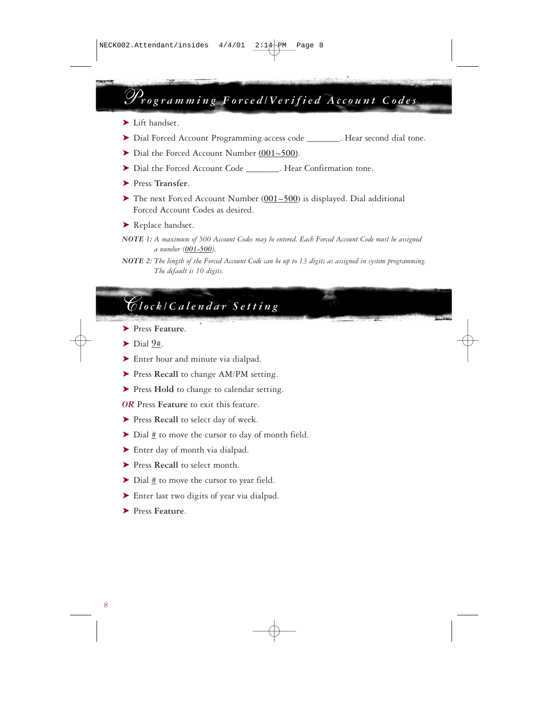# *Programming Forced/Verified Account Codes*

- ➤ Lift handset.
- ➤ Dial Forced Account Programming access code \_\_\_\_\_\_\_. Hear second dial tone.
- ➤ Dial the Forced Account Number **(001~500)**.
- ▶ Dial the Forced Account Code Force Hear Confirmation tone.
- ➤ Press **Transfer**.
- ➤ The next Forced Account Number (**001~500**) is displayed. Dial additional Forced Account Codes as desired.
- ▶ Replace handset.
- *NOTE 1: A maximum of 500 Account Codes may be entered. Each Forced Account Code must be assigned a number (001-500).*

## *Clock/Calendar Setting*

- ➤ Press **Feature**.
- $\blacktriangleright$  Dial 9#.
- ► Enter hour and minute via dialpad.
- ➤ Press **Recall** to change AM/PM setting.
- ➤ Press **Hold** to change to calendar setting.
- *OR* Press **Feature** to exit this feature.
- ▶ Press Recall to select day of week.
- ➤ Dial **#** to move the cursor to day of month field.
- ► Enter day of month via dialpad.
- ➤ Press **Recall** to select month.
- ➤ Dial **#** to move the cursor to year field.
- ➤ Enter last two digits of year via dialpad.
- ➤ Press **Feature**.

*NOTE 2: The length of the Forced Account Code can be up to 13 digits as assigned in system programming. The default is 10 digits.*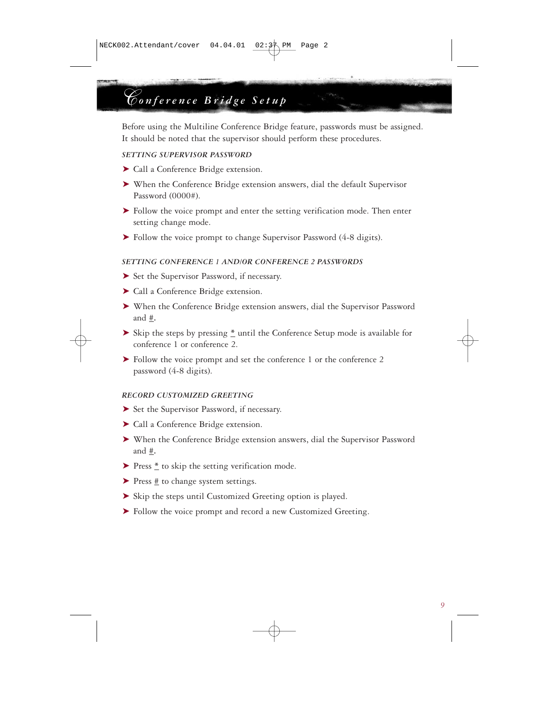# *Conference Bridge Setup*

Before using the Multiline Conference Bridge feature, passwords must be assigned. It should be noted that the supervisor should perform these procedures.

#### *SETTING SUPERVISOR PASSWORD*

- ➤ Call a Conference Bridge extension.
- ➤ When the Conference Bridge extension answers, dial the default Supervisor Password (0000#).
- ➤ Follow the voice prompt and enter the setting verification mode. Then enter setting change mode.
- ➤ Follow the voice prompt to change Supervisor Password (4-8 digits).

#### *SETTING CONFERENCE 1 AND/OR CONFERENCE 2 PASSWORDS*

- ➤ Set the Supervisor Password, if necessary.
- ➤ Call a Conference Bridge extension.
- ➤ When the Conference Bridge extension answers, dial the Supervisor Password and **#.**
- ➤ Skip the steps by pressing **\*** until the Conference Setup mode is available for conference 1 or conference 2.
- ➤ Follow the voice prompt and set the conference 1 or the conference 2 password (4-8 digits).

#### *RECORD CUSTOMIZED GREETING*

- ➤ Set the Supervisor Password, if necessary.
- ➤ Call a Conference Bridge extension.
- ➤ When the Conference Bridge extension answers, dial the Supervisor Password and **#.**
- ➤ Press **\*** to skip the setting verification mode.
- ➤ Press **#** to change system settings.
- ➤ Skip the steps until Customized Greeting option is played.
- ➤ Follow the voice prompt and record a new Customized Greeting.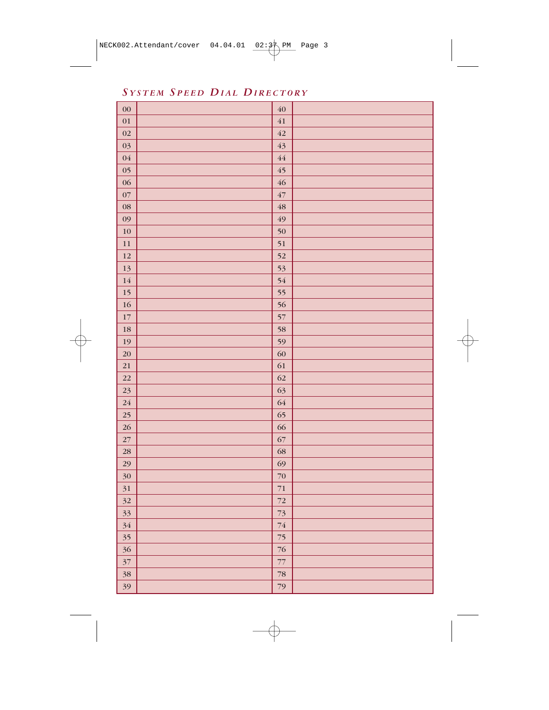*SYSTEM S PEED DIAL DIRECTORY*

| $00\,$ | 40          |  |
|--------|-------------|--|
| 01     | 41          |  |
| 02     | 42          |  |
| 03     | 43          |  |
| 04     | 44          |  |
| 05     | 45          |  |
| 06     | 46          |  |
| 07     | $\sqrt{47}$ |  |
| 08     | 48          |  |
| 09     | 49          |  |
| 10     | 50          |  |
| 11     | 51          |  |
| 12     | 52          |  |
| 13     | 53          |  |
| 14     | 54          |  |
| 15     | 55          |  |
| 16     | 56          |  |
| $17\,$ | 57          |  |
| 18     | 58          |  |
| 19     | 59          |  |
| 20     | 60          |  |
| 21     | 61          |  |
| 22     | 62          |  |
| 23     | 63          |  |
| 24     | 64          |  |
| 25     | 65          |  |
| 26     | 66          |  |
| $27\,$ | 67          |  |
| 28     | 68          |  |
| 29     | 69          |  |
| 30     | 70          |  |
| 31     | $71\,$      |  |
| 32     | 72          |  |
| 33     | $73\,$      |  |
| 34     | $74\,$      |  |
| 35     | $75\,$      |  |
| 36     | 76          |  |
| 37     | 77          |  |
| 38     | 78          |  |
| 39     | 79          |  |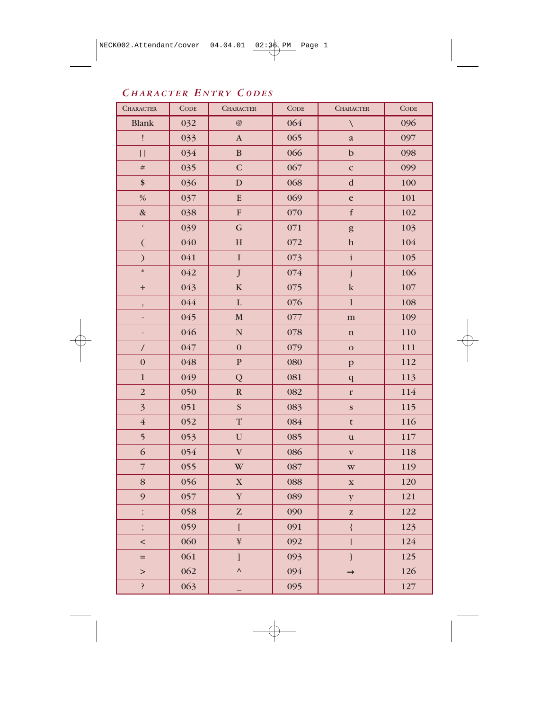## *C HARACTER E NTRY CODES*

| <b>CHARACTER</b>         | CODE | <b>CHARACTER</b>               | CODE    | <b>CHARACTER</b>                                                         | <b>CODE</b> |
|--------------------------|------|--------------------------------|---------|--------------------------------------------------------------------------|-------------|
| <b>Blank</b>             | 032  | @                              | 064     | $\setminus$                                                              | 096         |
| ļ                        | 033  | $\boldsymbol{\rm{A}}$          | 065     | $\mathbf{a}$                                                             | 097         |
| $\vert \, \vert$         | 034  | $\, {\bf B}$                   | 066     | $\mathbf b$                                                              | 098         |
| $\#$                     | 035  | $\mathbf C$                    | 067     | $\mathbf{C}$                                                             | 099         |
| \$                       | 036  | $\mathbf D$                    | 068     | $\mathbf d$                                                              | 100         |
| $\%$                     | 037  | ${\bf E}$                      | 069     | $\mathbf e$                                                              | 101         |
| $\&$                     | 038  | ${\bf F}$                      | 070     | $\mathbf f$                                                              | 102         |
| $\zeta$                  | 039  | $\mathbf G$                    | 071     | $\mathbf{g}% _{T}=\mathbf{g}_{T}(\mathbf{Q})=\mathbf{g}_{T}(\mathbf{Q})$ | 103         |
| $\overline{(\ }$         | 040  | $\mathbf H$                    | 072     | $\boldsymbol{\textbf{h}}$                                                | 104         |
| $\mathcal{E}$            | 041  | $\mathbf I$                    | 073     | $\mathbf i$                                                              | 105         |
| $\ast$                   | 042  | $\bf J$                        | $074\,$ | j                                                                        | 106         |
| $\ddot{}$                | 043  | $\bf K$                        | 075     | ${\bf k}$                                                                | 107         |
| $\overline{\phantom{a}}$ | 044  | $\mathbf L$                    | 076     | $\,$ $\,$                                                                | 108         |
| ÷                        | 045  | $\mathbf M$                    | 077     | ${\bf m}$                                                                | 109         |
| -                        | 046  | $\overline{\mathsf{N}}$        | 078     | $\mathbf n$                                                              | 110         |
| $\sqrt{\phantom{a}}$     | 047  | $\boldsymbol{0}$               | 079     | $\mathbf 0$                                                              | 111         |
| $\mathbf{0}$             | 048  | ${\bf P}$                      | 080     | $\, {\bf p}$                                                             | 112         |
| $\mathbf 1$              | 049  | Q                              | 081     | $\bf q$                                                                  | 113         |
| $\sqrt{2}$               | 050  | ${\bf R}$                      | 082     | $\mathbf{r}$                                                             | 114         |
| $\overline{\mathbf{3}}$  | 051  | $\overline{\mathbf{S}}$        | 083     | $\mathbf{s}$                                                             | 115         |
| $\bf 4$                  | 052  | $\mathbf T$                    | 084     | $\mathbf t$                                                              | 116         |
| $\overline{\mathbf{5}}$  | 053  | ${\bf U}$                      | 085     | $\mathbf u$                                                              | 117         |
| 6                        | 054  | $\mathbf{V}$                   | 086     | $\mathbf{V}$                                                             | 118         |
| $\overline{7}$           | 055  | W                              | 087     | $\mathbf{W}$                                                             | 119         |
| $\bf 8$                  | 056  | $\mathbf X$                    | 088     | $\mathbf X$                                                              | 120         |
| $\mathfrak{g}$           | 057  | $\mathbf Y$                    | 089     | $\mathbf{y}$                                                             | 121         |
| $\vdots$                 | 058  | ${\bf Z}$                      | 090     | ${\bf Z}$                                                                | 122         |
| $\vdots$                 | 059  | $\overline{\mathfrak{l}}$      | 091     | $\{$                                                                     | 123         |
| $\,<$                    | 060  | ¥                              | 092     | I                                                                        | 124         |
| $=$                      | 061  | $\begin{array}{c} \end{array}$ | 093     | $\big\}$                                                                 | 125         |
| $\rm{>}$                 | 062  | $\boldsymbol{\wedge}$          | 094     | $\rightarrow$                                                            | 126         |
| $\ddot{\cdot}$           | 063  |                                | 095     |                                                                          | 127         |